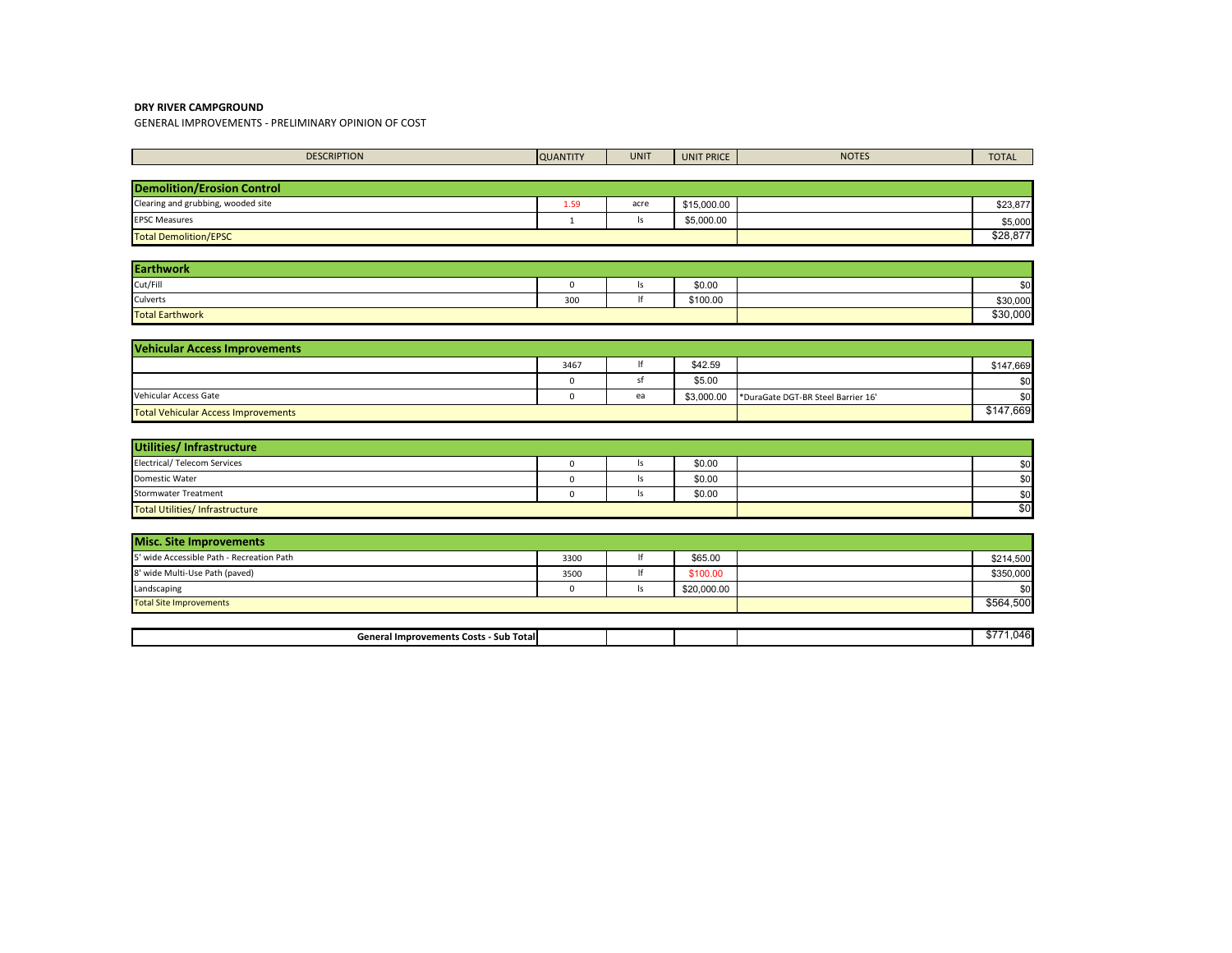GENERAL IMPROVEMENTS - PRELIMINARY OPINION OF COST

| <b>DESCRIPTION</b>                            | <b>QUANTITY</b> | <b>UNIT</b> | <b>UNIT PRICE</b> | <b>NOTES</b>                       | <b>TOTAL</b> |
|-----------------------------------------------|-----------------|-------------|-------------------|------------------------------------|--------------|
|                                               |                 |             |                   |                                    |              |
| <b>Demolition/Erosion Control</b>             |                 |             |                   |                                    |              |
| Clearing and grubbing, wooded site            | 1.59            | acre        | \$15,000.00       |                                    | \$23,877     |
| <b>EPSC Measures</b>                          | $\mathbf{1}$    | ls          | \$5,000.00        |                                    | \$5,000      |
| <b>Total Demolition/EPSC</b>                  |                 |             |                   |                                    | \$28,877     |
|                                               |                 |             |                   |                                    |              |
| <b>Earthwork</b>                              |                 |             |                   |                                    |              |
| Cut/Fill                                      | $\mathbf 0$     | Is          | \$0.00            |                                    | \$0          |
| Culverts                                      | 300             | lf          | \$100.00          |                                    | \$30,000     |
| <b>Total Earthwork</b>                        |                 |             |                   |                                    | \$30,000     |
|                                               |                 |             |                   |                                    |              |
| <b>Vehicular Access Improvements</b>          |                 |             |                   |                                    |              |
|                                               | 3467            | If          | \$42.59           |                                    | \$147,669    |
|                                               | 0               | sf          | \$5.00            |                                    | \$0          |
| Vehicular Access Gate                         | $\mathbf 0$     | ea          | \$3,000.00        | *DuraGate DGT-BR Steel Barrier 16' | \$0          |
| <b>Total Vehicular Access Improvements</b>    |                 |             |                   |                                    | \$147,669    |
|                                               |                 |             |                   |                                    |              |
| Utilities/ Infrastructure                     |                 |             |                   |                                    |              |
| <b>Electrical/ Telecom Services</b>           | $\mathbf 0$     | ls          | \$0.00            |                                    | \$0          |
| Domestic Water                                | $\mathsf 0$     | Is          | \$0.00            |                                    | \$0          |
| <b>Stormwater Treatment</b>                   | $\mathbf 0$     | ls          | \$0.00            |                                    | \$0          |
| <b>Total Utilities/ Infrastructure</b>        |                 |             |                   |                                    | \$0          |
|                                               |                 |             |                   |                                    |              |
| <b>Misc. Site Improvements</b>                |                 |             |                   |                                    |              |
| 5' wide Accessible Path - Recreation Path     | 3300            | lf          | \$65.00           |                                    | \$214,500    |
| 8' wide Multi-Use Path (paved)                | 3500            | lf          | \$100.00          |                                    | \$350,000    |
| Landscaping                                   | $\mathbf 0$     | ls          | \$20,000.00       |                                    | \$0          |
| <b>Total Site Improvements</b>                |                 |             |                   |                                    | \$564,500    |
|                                               |                 |             |                   |                                    |              |
| <b>General Improvements Costs - Sub Total</b> |                 |             |                   |                                    | \$771,046    |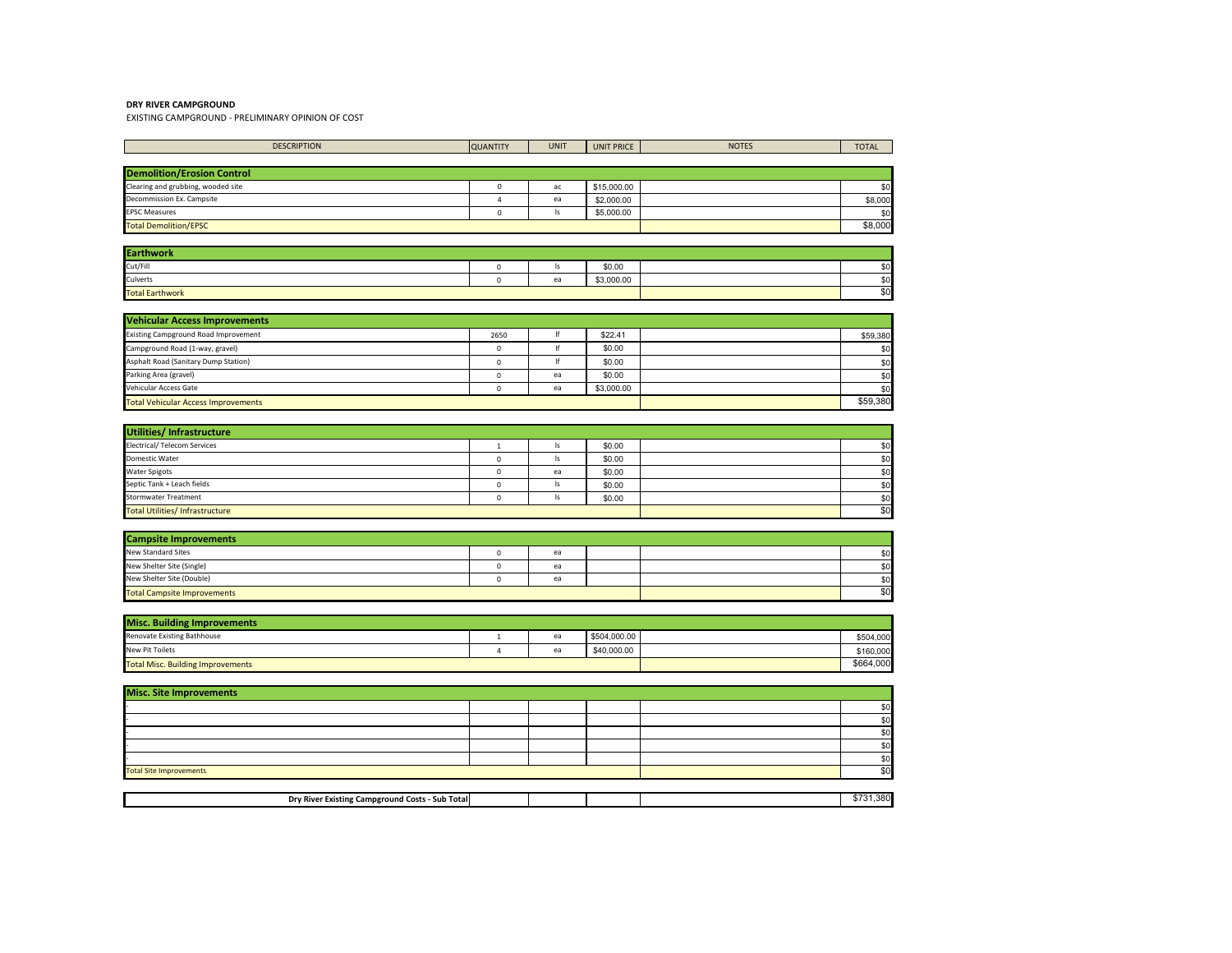EXISTING CAMPGROUND - PRELIMINARY OPINION OF COST

| <b>DESCRIPTION</b>                         | <b>QUANTITY</b> | <b>UNIT</b> | <b>UNIT PRICE</b> | <b>NOTES</b> | <b>TOTAL</b> |
|--------------------------------------------|-----------------|-------------|-------------------|--------------|--------------|
|                                            |                 |             |                   |              |              |
| <b>Demolition/Erosion Control</b>          |                 |             |                   |              |              |
| Clearing and grubbing, wooded site         | $^{\circ}$      | ac          | \$15,000.00       |              | \$0          |
| Decommission Ex. Campsite                  | $\overline{4}$  | ea          | \$2,000.00        |              | \$8,000      |
| <b>EPSC Measures</b>                       | $\mathbf 0$     | ls          | \$5,000.00        |              | \$0          |
| <b>Total Demolition/EPSC</b>               |                 |             |                   |              | \$8,000      |
|                                            |                 |             |                   |              |              |
| <b>Earthwork</b>                           |                 |             |                   |              |              |
| Cut/Fill                                   | $\Omega$        | ls          | \$0.00            |              | \$0          |
| Culverts                                   | $\Omega$        | ea          | \$3,000.00        |              | \$0          |
| <b>Total Earthwork</b>                     |                 |             |                   |              | \$0          |
|                                            |                 |             |                   |              |              |
| <b>Vehicular Access Improvements</b>       |                 |             |                   |              |              |
| Existing Campground Road Improvement       | 2650            | lf          | \$22.41           |              | \$59,380     |
| Campground Road (1-way, gravel)            | 0               | lf          | \$0.00            |              | \$0          |
| Asphalt Road (Sanitary Dump Station)       | $\Omega$        | If          | \$0.00            |              | \$0          |
| Parking Area (gravel)                      | $\Omega$        | ea          | \$0.00            |              | \$0          |
| Vehicular Access Gate                      | 0               | ea          | \$3,000.00        |              | \$0          |
| <b>Total Vehicular Access Improvements</b> |                 | \$59,380    |                   |              |              |

| <b>Utilities/Infrastructure</b>       |  |     |        |  |     |  |  |
|---------------------------------------|--|-----|--------|--|-----|--|--|
| <b>Electrical/ Telecom Services</b>   |  |     | \$0.00 |  | \$0 |  |  |
| Domestic Water                        |  |     | \$0.00 |  | \$0 |  |  |
| <b>Water Spigots</b>                  |  | ea  | \$0.00 |  | \$0 |  |  |
| Septic Tank + Leach fields            |  | m   | \$0.00 |  | \$0 |  |  |
| Stormwater Treatment                  |  |     | \$0.00 |  | \$0 |  |  |
| <b>Total Utilities/Infrastructure</b> |  | \$0 |        |  |     |  |  |

| <b>Campsite Improvements</b>       |  |    |  |  |     |  |
|------------------------------------|--|----|--|--|-----|--|
| <b>New Standard Sites</b>          |  | ea |  |  | \$0 |  |
| New Shelter Site (Single)          |  | ea |  |  | \$0 |  |
| New Shelter Site (Double)          |  | ea |  |  | \$0 |  |
| <b>Total Campsite Improvements</b> |  |    |  |  | \$0 |  |

| <b>Misc. Building Improvements</b>       |  |        |              |           |           |  |
|------------------------------------------|--|--------|--------------|-----------|-----------|--|
| Renovate Existing Bathhouse              |  | $\sim$ | \$504,000.00 |           | \$504,000 |  |
| <b>New Pit Toilets</b>                   |  |        | \$40,000.00  |           | \$160,000 |  |
| <b>Total Misc. Building Improvements</b> |  |        |              | \$664,000 |           |  |

| <b>Misc. Site Improvements</b> |  |     |  |  |     |  |  |
|--------------------------------|--|-----|--|--|-----|--|--|
|                                |  |     |  |  | \$0 |  |  |
|                                |  |     |  |  | \$0 |  |  |
|                                |  |     |  |  | \$0 |  |  |
|                                |  |     |  |  | \$0 |  |  |
|                                |  |     |  |  | \$0 |  |  |
| <b>Total Site Improvements</b> |  | \$0 |  |  |     |  |  |
|                                |  |     |  |  |     |  |  |

| <b>Dry River E</b><br>r Existing Campground Costs<br>Sub Totall |  |  | .380 |
|-----------------------------------------------------------------|--|--|------|
|                                                                 |  |  |      |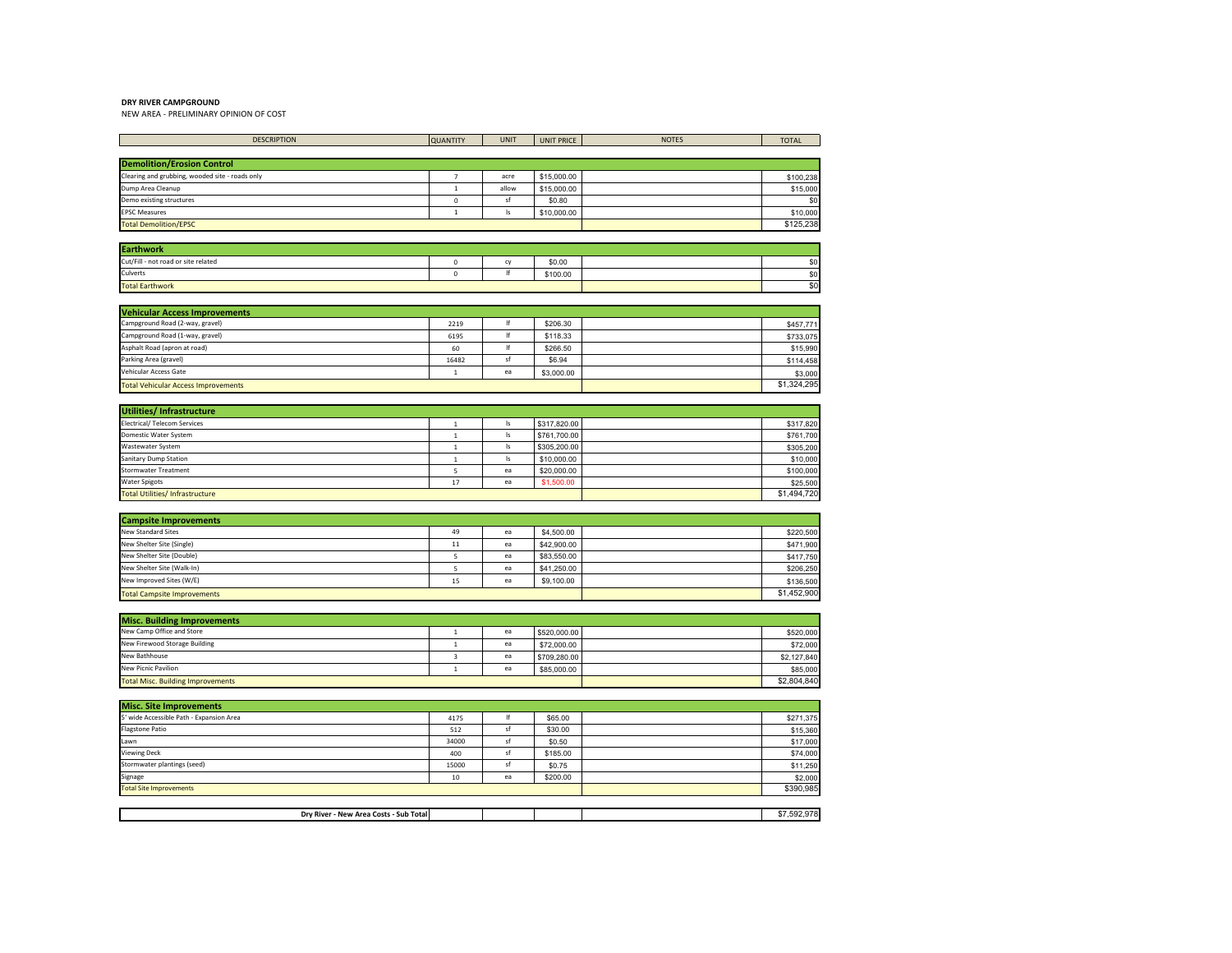NEW AREA - PRELIMINARY OPINION OF COST

| <b>DESCRIPTION</b>                                                      | <b>QUANTITY</b>         | <b>UNIT</b>   | <b>UNIT PRICE</b> | <b>NOTES</b> | <b>TOTAL</b> |
|-------------------------------------------------------------------------|-------------------------|---------------|-------------------|--------------|--------------|
|                                                                         |                         |               |                   |              |              |
| <b>Demolition/Erosion Control</b>                                       |                         |               |                   |              |              |
| Clearing and grubbing, wooded site - roads only                         | $\overline{7}$          | acre          | \$15,000.00       |              | \$100,238    |
| Dump Area Cleanup                                                       | $\mathbf{1}$            | allow         | \$15,000.00       |              | \$15,000     |
| Demo existing structures                                                | $\mathbf 0$             | sf            | \$0.80            |              | \$0          |
| <b>EPSC Measures</b>                                                    | $\mathbf 1$             | $\mathsf{ls}$ | \$10,000.00       |              | \$10,000     |
| <b>Total Demolition/EPSC</b>                                            |                         |               |                   |              | \$125,238    |
|                                                                         |                         |               |                   |              |              |
| <b>Earthwork</b>                                                        |                         |               |                   |              |              |
| Cut/Fill - not road or site related                                     | $\mathbf 0$             | cy            | \$0.00            |              | \$0          |
| Culverts                                                                | $\mathbf 0$             | If            | \$100.00          |              | \$0          |
| <b>Total Earthwork</b>                                                  |                         |               |                   |              | \$0          |
|                                                                         |                         |               |                   |              |              |
| <b>Vehicular Access Improvements</b><br>Campground Road (2-way, gravel) | 2219                    | lf            | \$206.30          |              |              |
| Campground Road (1-way, gravel)                                         | 6195                    | lf            | \$118.33          |              | \$457,771    |
| Asphalt Road (apron at road)                                            | 60                      | If            | \$266.50          |              | \$733,075    |
| Parking Area (gravel)                                                   |                         | sf            |                   |              | \$15,990     |
|                                                                         | 16482                   |               | \$6.94            |              | \$114,458    |
| Vehicular Access Gate                                                   | $\mathbf 1$             | ea            | \$3,000.00        |              | \$3,000      |
| <b>Total Vehicular Access Improvements</b>                              |                         |               |                   |              | \$1,324,295  |
| <b>Utilities/Infrastructure</b>                                         |                         |               |                   |              |              |
| Electrical/ Telecom Services                                            | $\mathbf 1$             | Is            | \$317,820.00      |              | \$317,820    |
| Domestic Water System                                                   | $\mathbf 1$             | Is            | \$761,700.00      |              | \$761,700    |
| Wastewater System                                                       | $\mathbf 1$             | Is            | \$305,200.00      |              | \$305,200    |
| Sanitary Dump Station                                                   | $\mathbf{1}$            | Is            | \$10,000.00       |              | \$10,000     |
| Stormwater Treatment                                                    | $\sqrt{5}$              | ea            | \$20,000.00       |              | \$100,000    |
| Water Spigots                                                           | 17                      | ea            | \$1,500.00        |              | \$25,500     |
| <b>Total Utilities/Infrastructure</b>                                   |                         |               |                   |              | \$1,494,720  |
|                                                                         |                         |               |                   |              |              |
| <b>Campsite Improvements</b>                                            |                         |               |                   |              |              |
| New Standard Sites                                                      | 49                      | ea            | \$4,500.00        |              | \$220,500    |
| New Shelter Site (Single)                                               | 11                      | ea            | \$42,900.00       |              | \$471,900    |
| New Shelter Site (Double)                                               | $\sqrt{5}$              | ea            | \$83,550.00       |              | \$417,750    |
| New Shelter Site (Walk-In)                                              | 5                       | ea            | \$41,250.00       |              | \$206,250    |
| New Improved Sites (W/E)                                                | 15                      | ea            | \$9,100.00        |              | \$136,500    |
| <b>Total Campsite Improvements</b>                                      |                         |               |                   |              | \$1,452,900  |
|                                                                         |                         |               |                   |              |              |
| <b>Misc. Building Improvements</b>                                      |                         |               |                   |              |              |
| New Camp Office and Store                                               | $\mathbf{1}$            | ea            | \$520,000.00      |              | \$520,000    |
| New Firewood Storage Building                                           | $\mathbf 1$             | ea            | \$72,000.00       |              | \$72,000     |
| New Bathhouse                                                           | $\overline{\mathbf{3}}$ | ea            | \$709,280.00      |              | \$2,127,840  |
| New Picnic Pavilion                                                     | $\mathbf 1$             | ea            | \$85,000.00       |              | \$85,000     |
| <b>Total Misc. Building Improvements</b>                                |                         |               |                   |              | \$2,804,840  |
|                                                                         |                         |               |                   |              |              |
| <b>Misc. Site Improvements</b>                                          |                         |               |                   |              |              |
| i' wide Accessible Path - Expansion Area                                | 4175                    | If            | \$65.00           |              | \$271,375    |
| Flagstone Patio                                                         | 512                     | sf            | \$30.00           |              | \$15,360     |
| Lawn                                                                    | 34000                   | sf            | \$0.50            |              | \$17,000     |
| <b>Viewing Deck</b>                                                     | 400                     | sf            | \$185.00          |              | \$74,000     |
| Stormwater plantings (seed)                                             | 15000                   | sf            | \$0.75            |              | \$11,250     |
| Signage                                                                 | 10                      | ea            | \$200.00          |              | \$2,000      |
| <b>Total Site Improvements</b>                                          |                         |               |                   |              | \$390,985    |
|                                                                         |                         |               |                   |              |              |
| Dry River - New Area Costs - Sub Total                                  |                         |               |                   |              | \$7,592,978  |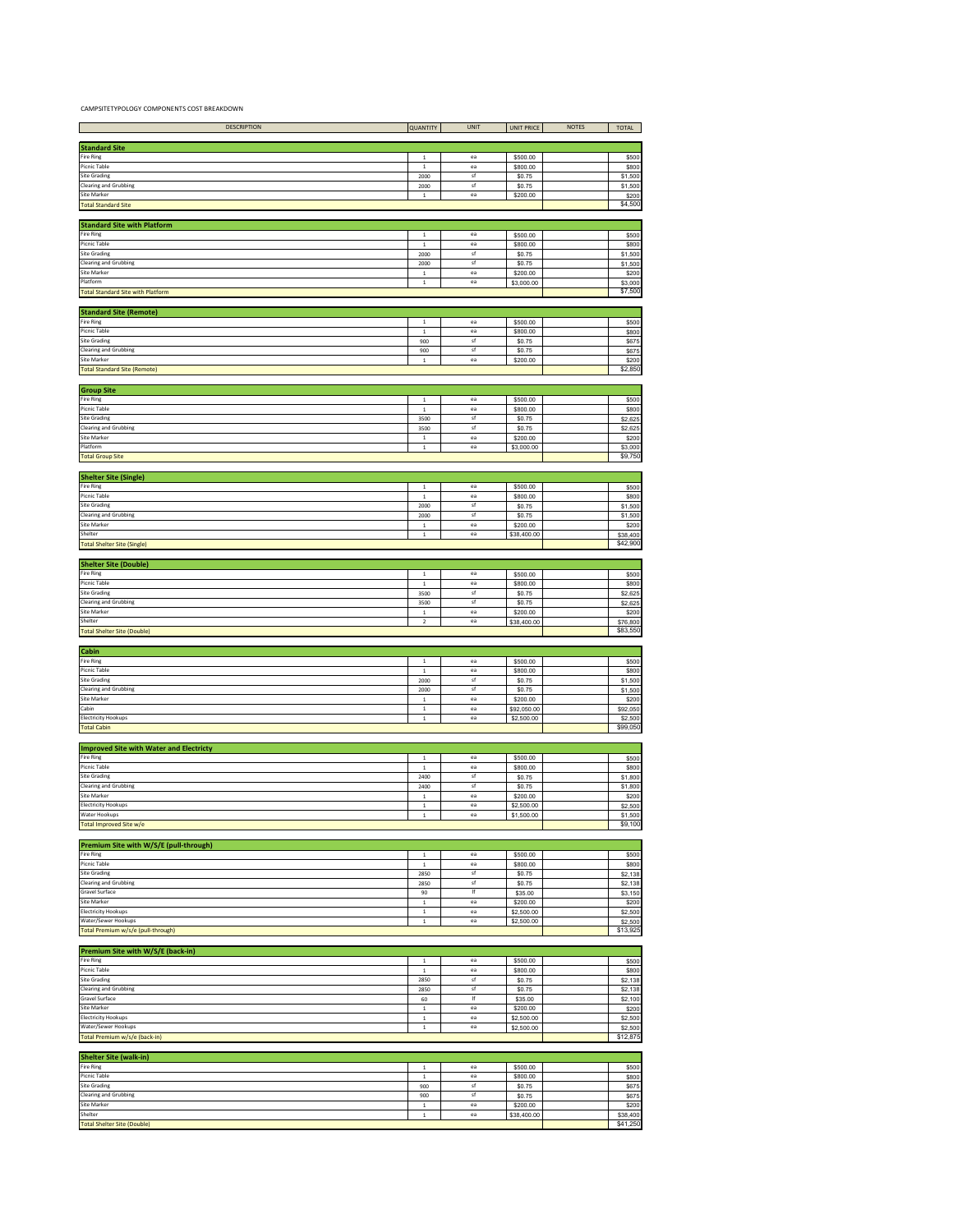CAMPSITETYPOLOGY COMPONENTS COST BREAKDOWN

| DESCRIPTION                                                 | <b>QUANTITY</b>                  | <b>UNIT</b> | <b>UNIT PRICE</b>        | <b>NOTES</b> | TOTAL                     |
|-------------------------------------------------------------|----------------------------------|-------------|--------------------------|--------------|---------------------------|
| <b>Standard Site</b>                                        |                                  |             |                          |              |                           |
| Fire Ring                                                   | $\overline{1}$                   | ea          | \$500.00                 |              | \$500                     |
| Picnic Table<br>Site Grading                                | $\,$ 1<br>2000                   | ea<br>sf    | \$800.00<br>\$0.75       |              | \$800<br>\$1,500          |
| <b>Clearing and Grubbing</b>                                | 2000                             | sf          | \$0.75                   |              | \$1,500                   |
| Site Marker<br><b>Total Standard Site</b>                   | $\,$ 1 $\,$                      | ea          | \$200.00                 |              | \$200<br>\$4,500          |
|                                                             |                                  |             |                          |              |                           |
| <b>Standard Site with Platform</b><br>Fire Ring             | $\,$ 1 $\,$                      | ea          | \$500.00                 |              | \$500                     |
| Picnic Table                                                | $\,1\,$                          | ea          | \$800.00                 |              | \$800                     |
| <b>Site Grading</b><br><b>Clearing and Grubbing</b>         | 2000<br>2000                     | sf<br>sf    | \$0.75<br>\$0.75         |              | \$1,500<br>\$1,500        |
| Site Marker                                                 | $\,1\,$                          | ea          | \$200.00                 |              | \$200                     |
| Platform<br><b>Total Standard Site with Platform</b>        | $\,$ 1 $\,$                      | ea          | \$3,000.00               |              | \$3,000<br>\$7,500        |
|                                                             |                                  |             |                          |              |                           |
| <b>Standard Site (Remote)</b><br>Fire Ring                  | $\,$ 1 $\,$                      | ea          | \$500.00                 |              | \$500                     |
| Picnic Table                                                | $\,$ 1                           | ea          | \$800.00                 |              | \$800                     |
| Site Grading<br><b>Clearing and Grubbing</b>                | 900<br>900                       | sf<br>sf    | \$0.75<br>\$0.75         |              | \$675<br>\$675            |
| Site Marker                                                 | $\,$ 1 $\,$                      | ea          | \$200.00                 |              | \$200<br>\$2,850          |
| <b>Total Standard Site (Remote)</b>                         |                                  |             |                          |              |                           |
| <b>Group Site</b>                                           |                                  |             |                          |              |                           |
| Fire Ring<br>Picnic Table                                   | $\overline{1}$<br>$\overline{1}$ | ea<br>ea    | \$500.00<br>\$800.00     |              | \$500<br>\$800            |
| Site Grading                                                | 3500                             | sf          | \$0.75                   |              | \$2,625                   |
| <b>Clearing and Grubbing</b><br>Site Marker                 | 3500<br>$\mathbf{1}$             | sf<br>ea    | \$0.75<br>\$200.00       |              | \$2,625<br>\$200          |
| Platform                                                    | $\,$ 1                           | ea          | \$3,000.00               |              | \$3,000                   |
| <b>Total Group Site</b>                                     |                                  |             |                          |              | \$9,750                   |
| <b>Shelter Site (Single)</b>                                |                                  |             |                          |              |                           |
| Fire Ring<br>Picnic Table                                   | $\,$ 1 $\,$<br>$\,$ 1 $\,$       | ea<br>ea    | \$500.00<br>\$800.00     |              | \$500<br>\$800            |
| <b>Site Grading</b>                                         | 2000                             | sf          | \$0.75                   |              | \$1,500                   |
| <b>Clearing and Grubbing</b><br>Site Marker                 | 2000<br>$\,$ 1 $\,$              | sf<br>ea    | \$0.75<br>\$200.00       |              | \$1,500<br>\$200          |
| Shelter                                                     | $\,$ 1 $\,$                      | ea          | \$38,400.00              |              | \$38,400                  |
| <b>Total Shelter Site (Single)</b>                          |                                  |             |                          |              | \$42,900                  |
| <b>Shelter Site (Double)</b>                                |                                  |             |                          |              |                           |
| Fire Ring<br>Picnic Table                                   | $\,1\,$<br>$\,1\,$               | ea<br>ea    | \$500.00<br>\$800.00     |              | \$500<br>\$800            |
| Site Grading                                                | 3500                             | sf          | \$0.75                   |              | \$2,625                   |
| <b>Clearing and Grubbing</b><br>Site Marker                 | 3500<br>$\,$ 1 $\,$              | sf<br>ea    | \$0.75<br>\$200.00       |              | \$2,625<br>\$200          |
| Shelter                                                     | $\,2$                            | ea          | \$38,400.00              |              | \$76,800                  |
| <b>Total Shelter Site (Double)</b>                          |                                  |             |                          |              | \$83,550                  |
| Cabin                                                       |                                  |             |                          |              |                           |
| Fire Ring                                                   | $\overline{1}$                   | ea          | \$500.00                 |              | \$500                     |
| Picnic Table                                                | $\mathbf 1$                      | ea          |                          |              |                           |
| Site Grading                                                | 2000                             | sf          | \$800.00<br>\$0.75       |              | \$800<br>\$1,500          |
| <b>Clearing and Grubbing</b><br>Site Marker                 | 2000<br>$\,$ 1                   | sf<br>ea    | \$0.75<br>\$200.00       |              | \$1,500<br>\$200          |
| Cabin                                                       | $\,$ 1                           | ea          | \$92,050.00              |              | \$92,050                  |
| <b>Electricity Hookups</b><br><b>Total Cabin</b>            | $\,1\,$                          | ea          | \$2,500.00               |              | \$2,500<br>\$99,050       |
|                                                             |                                  |             |                          |              |                           |
| <b>Improved Site with Water and Electricty</b><br>Fire Ring | $\mathbf 1$                      | ea          | \$500.00                 |              | \$500                     |
| Picnic Table                                                | $\mathbf{1}$                     | ea          | \$800.00                 |              | \$800                     |
| <b>Site Grading</b><br><b>Clearing and Grubbing</b>         | 2400<br>2400                     | sf<br>sf    | \$0.75<br>\$0.75         |              | \$1,800<br>\$1,800        |
| Site Marker                                                 | $\mathbf{1}$                     | ea          | \$200.00                 |              | \$200                     |
| <b>Electricity Hookups</b><br>Water Hookups                 | $\,$ 1<br>$\,1\,$                | ea<br>ea    | \$2,500.00<br>\$1,500.00 |              | \$2,500<br>\$1,500        |
| Total Improved Site w/e                                     |                                  |             |                          |              |                           |
|                                                             |                                  |             |                          |              |                           |
| Premium Site with W/S/E (pull-through)<br>Fire Ring         | $\,$ 1                           | ea          | \$500.00                 |              | \$500                     |
| Picnic Table<br>Site Grading                                | $\,$ 1 $\,$<br>2850              | ea<br>sf    | \$800.00<br>\$0.75       |              | \$800<br>\$2,138          |
| <b>Clearing and Grubbing</b>                                | 2850                             | sf          | \$0.75                   |              | \$2,138                   |
| <b>Gravel Surface</b><br><b>Site Marker</b>                 | 90<br>$\mathbf 1$                | lf<br>ea    | \$35.00<br>\$200.00      |              | \$3,150<br>\$200          |
| <b>Electricity Hookups</b>                                  | $\mathbf 1$                      | ea          | \$2,500.00               |              | \$2,500                   |
| Water/Sewer Hookups<br>Total Premium w/s/e (pull-through)   | $\,$ 1 $\,$                      | ea          | \$2,500.00               |              | \$2,500<br>\$13,925       |
|                                                             |                                  |             |                          |              |                           |
| Premium Site with W/S/E (back-in)<br>Fire Ring              | $\,$ 1                           | ea          | \$500.00                 |              | \$500                     |
| Picnic Table                                                | $\overline{1}$                   | ea          | \$800.00                 |              | \$800                     |
| Site Grading<br><b>Clearing and Grubbing</b>                | 2850<br>2850                     | sf<br>sf    | \$0.75<br>\$0.75         |              | \$2,138<br>\$2,138        |
| Gravel Surface                                              | 60                               | lf          | \$35.00                  |              | \$2,100                   |
| Site Marker<br>Electricity Hookups                          | $\,$ 1<br>$\,$ 1                 | ea<br>ea    | \$200.00<br>\$2,500.00   |              | \$200<br>\$2,500          |
| Water/Sewer Hookups                                         | $\,$ 1                           | ea          | \$2,500.00               |              | \$2,500                   |
| Total Premium w/s/e (back-in)                               |                                  |             |                          |              | \$12,875                  |
| <b>Shelter Site (walk-in)</b>                               |                                  |             |                          |              |                           |
| Fire Ring<br>Picnic Table                                   | $\mathbf{1}$<br>$\mathbf 1$      | ea<br>ea    | \$500.00<br>\$800.00     |              | \$500<br>\$800            |
| <b>Site Grading</b>                                         | 900                              | sf          | \$0.75                   |              | \$675                     |
| <b>Clearing and Grubbing</b><br><b>Site Marker</b>          | 900<br>$\,$ 1                    | sf<br>ea    | \$0.75<br>\$200.00       |              | \$9,100<br>\$675<br>\$200 |